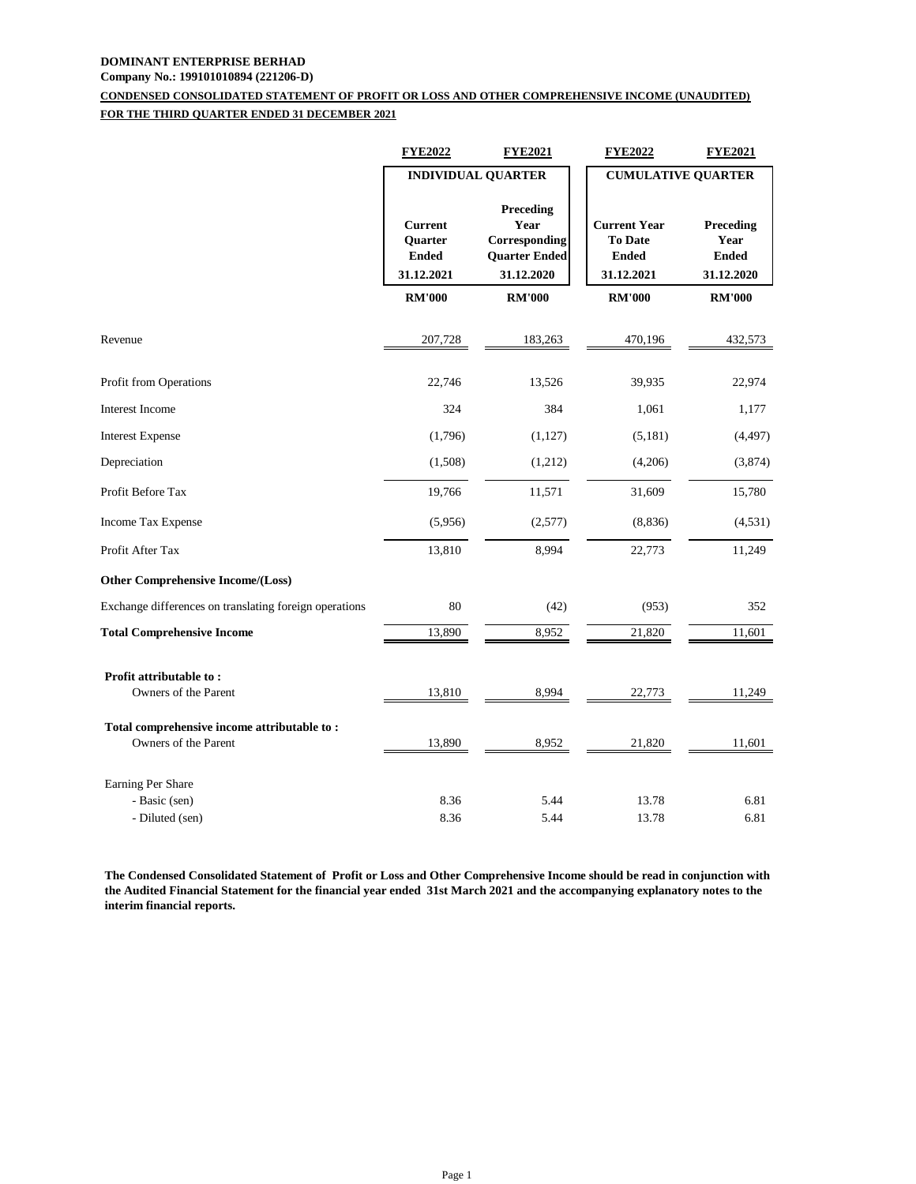# **DOMINANT ENTERPRISE BERHAD**

## **Company No.: 199101010894 (221206-D)**

## **CONDENSED CONSOLIDATED STATEMENT OF PROFIT OR LOSS AND OTHER COMPREHENSIVE INCOME (UNAUDITED) FOR THE THIRD QUARTER ENDED 31 DECEMBER 2021**

|                                                                     | <b>FYE2022</b>                                                 | <b>FYE2021</b>                                                           | <b>FYE2022</b>                                                      | <b>FYE2021</b>                                  |
|---------------------------------------------------------------------|----------------------------------------------------------------|--------------------------------------------------------------------------|---------------------------------------------------------------------|-------------------------------------------------|
|                                                                     | <b>INDIVIDUAL QUARTER</b>                                      |                                                                          | <b>CUMULATIVE QUARTER</b>                                           |                                                 |
|                                                                     | <b>Current</b><br><b>Ouarter</b><br><b>Ended</b><br>31.12.2021 | Preceding<br>Year<br>Corresponding<br><b>Quarter Ended</b><br>31.12.2020 | <b>Current Year</b><br><b>To Date</b><br><b>Ended</b><br>31.12.2021 | Preceding<br>Year<br><b>Ended</b><br>31.12.2020 |
|                                                                     | <b>RM'000</b>                                                  | <b>RM'000</b>                                                            | <b>RM'000</b>                                                       | <b>RM'000</b>                                   |
| Revenue                                                             | 207,728                                                        | 183,263                                                                  | 470,196                                                             | 432,573                                         |
| Profit from Operations                                              | 22,746                                                         | 13,526                                                                   | 39,935                                                              | 22,974                                          |
| <b>Interest Income</b>                                              | 324                                                            | 384                                                                      | 1,061                                                               | 1,177                                           |
| <b>Interest Expense</b>                                             | (1,796)                                                        | (1, 127)                                                                 | (5,181)                                                             | (4, 497)                                        |
| Depreciation                                                        | (1,508)                                                        | (1,212)                                                                  | (4,206)                                                             | (3,874)                                         |
| Profit Before Tax                                                   | 19,766                                                         | 11,571                                                                   | 31,609                                                              | 15,780                                          |
| Income Tax Expense                                                  | (5,956)                                                        | (2,577)                                                                  | (8, 836)                                                            | (4,531)                                         |
| Profit After Tax                                                    | 13,810                                                         | 8,994                                                                    | 22,773                                                              | 11,249                                          |
| <b>Other Comprehensive Income/(Loss)</b>                            |                                                                |                                                                          |                                                                     |                                                 |
| Exchange differences on translating foreign operations              | 80                                                             | (42)                                                                     | (953)                                                               | 352                                             |
| <b>Total Comprehensive Income</b>                                   | 13,890                                                         | 8,952                                                                    | 21,820                                                              | 11,601                                          |
| Profit attributable to:<br>Owners of the Parent                     | 13,810                                                         | 8,994                                                                    | 22,773                                                              | 11,249                                          |
| Total comprehensive income attributable to:<br>Owners of the Parent | 13,890                                                         | 8,952                                                                    | 21,820                                                              | 11,601                                          |
| Earning Per Share                                                   |                                                                |                                                                          |                                                                     |                                                 |
| - Basic (sen)<br>- Diluted (sen)                                    | 8.36<br>8.36                                                   | 5.44<br>5.44                                                             | 13.78<br>13.78                                                      | 6.81<br>6.81                                    |

**The Condensed Consolidated Statement of Profit or Loss and Other Comprehensive Income should be read in conjunction with the Audited Financial Statement for the financial year ended 31st March 2021 and the accompanying explanatory notes to the interim financial reports.**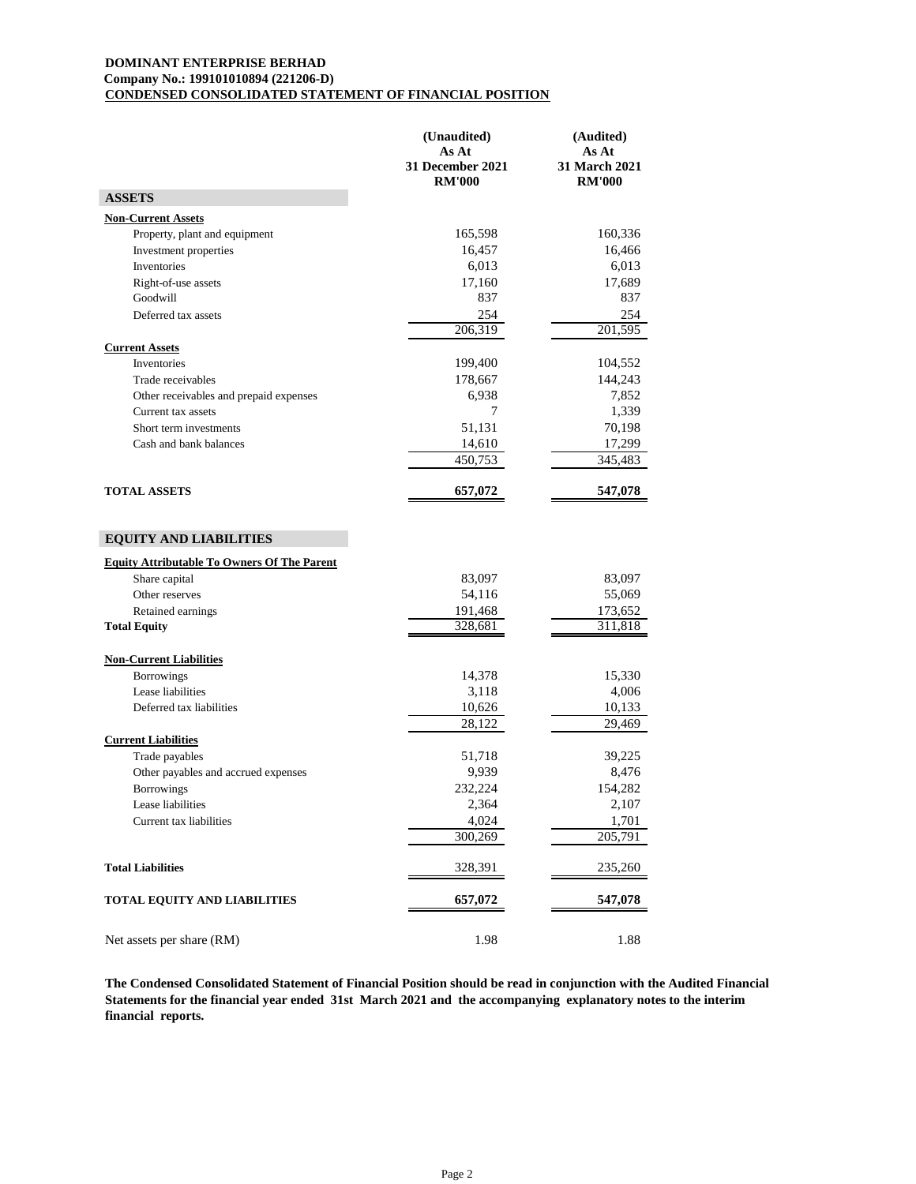## **DOMINANT ENTERPRISE BERHAD Company No.: 199101010894 (221206-D) CONDENSED CONSOLIDATED STATEMENT OF FINANCIAL POSITION**

|                                                                                                            | (Unaudited)<br>As At<br>31 December 2021<br><b>RM'000</b> | (Audited)<br>As At<br><b>31 March 2021</b><br><b>RM'000</b> |
|------------------------------------------------------------------------------------------------------------|-----------------------------------------------------------|-------------------------------------------------------------|
| <b>ASSETS</b>                                                                                              |                                                           |                                                             |
| <b>Non-Current Assets</b>                                                                                  |                                                           |                                                             |
| Property, plant and equipment                                                                              | 165,598                                                   | 160,336                                                     |
| Investment properties                                                                                      | 16,457                                                    | 16,466                                                      |
| Inventories                                                                                                | 6,013                                                     | 6,013                                                       |
| Right-of-use assets                                                                                        | 17,160                                                    | 17,689                                                      |
| Goodwill                                                                                                   | 837                                                       | 837                                                         |
| Deferred tax assets                                                                                        | 254                                                       | 254                                                         |
|                                                                                                            | 206,319                                                   | 201,595                                                     |
| <b>Current Assets</b><br>Inventories                                                                       | 199,400                                                   | 104,552                                                     |
| Trade receivables                                                                                          | 178,667                                                   | 144,243                                                     |
| Other receivables and prepaid expenses                                                                     | 6,938                                                     | 7,852                                                       |
| Current tax assets                                                                                         | 7                                                         | 1,339                                                       |
| Short term investments                                                                                     | 51,131                                                    | 70,198                                                      |
| Cash and bank balances                                                                                     | 14,610                                                    | 17,299                                                      |
|                                                                                                            | 450,753                                                   | 345,483                                                     |
| <b>TOTAL ASSETS</b>                                                                                        | 657,072                                                   | 547,078                                                     |
| <b>Equity Attributable To Owners Of The Parent</b><br>Share capital<br>Other reserves<br>Retained earnings | 83,097<br>54,116<br>191,468<br>328,681                    | 83,097<br>55,069<br>173,652<br>311,818                      |
| <b>Total Equity</b>                                                                                        |                                                           |                                                             |
| <b>Non-Current Liabilities</b>                                                                             |                                                           |                                                             |
| <b>Borrowings</b>                                                                                          | 14,378                                                    | 15,330                                                      |
| Lease liabilities<br>Deferred tax liabilities                                                              | 3,118                                                     | 4,006<br>10,133                                             |
|                                                                                                            | 10,626<br>28,122                                          | 29,469                                                      |
| <b>Current Liabilities</b>                                                                                 |                                                           |                                                             |
| Trade payables                                                                                             | 51,718                                                    | 39,225                                                      |
| Other payables and accrued expenses                                                                        | 9,939                                                     | 8,476                                                       |
| <b>Borrowings</b>                                                                                          | 232,224                                                   | 154,282                                                     |
| Lease liabilities                                                                                          | 2,364                                                     | 2,107                                                       |
| Current tax liabilities                                                                                    | 4,024                                                     | 1,701                                                       |
|                                                                                                            | 300,269                                                   | 205,791                                                     |
| <b>Total Liabilities</b>                                                                                   | 328,391                                                   | 235,260                                                     |
| TOTAL EQUITY AND LIABILITIES                                                                               | 657,072                                                   | 547,078                                                     |
| Net assets per share (RM)                                                                                  | 1.98                                                      | 1.88                                                        |

**The Condensed Consolidated Statement of Financial Position should be read in conjunction with the Audited Financial Statements for the financial year ended 31st March 2021 and the accompanying explanatory notes to the interim financial reports.**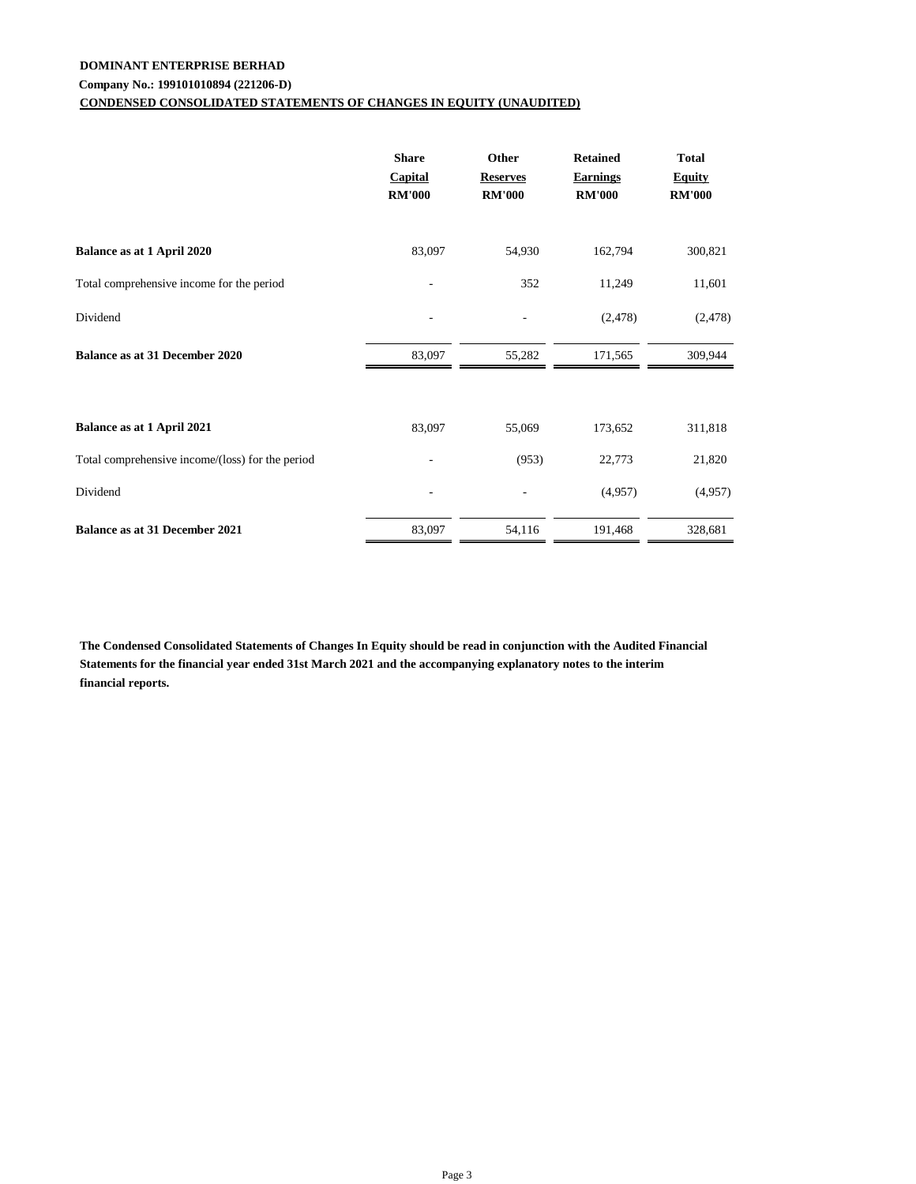## **DOMINANT ENTERPRISE BERHAD**

## **Company No.: 199101010894 (221206-D)**

## **CONDENSED CONSOLIDATED STATEMENTS OF CHANGES IN EQUITY (UNAUDITED)**

|                                                  | <b>Share</b><br><b>Capital</b><br><b>RM'000</b> | Other<br><b>Reserves</b><br><b>RM'000</b> | <b>Retained</b><br><b>Earnings</b><br><b>RM'000</b> | <b>Total</b><br><b>Equity</b><br><b>RM'000</b> |
|--------------------------------------------------|-------------------------------------------------|-------------------------------------------|-----------------------------------------------------|------------------------------------------------|
| Balance as at 1 April 2020                       | 83,097                                          | 54,930                                    | 162,794                                             | 300,821                                        |
| Total comprehensive income for the period        |                                                 | 352                                       | 11,249                                              | 11,601                                         |
| Dividend                                         |                                                 |                                           | (2, 478)                                            | (2, 478)                                       |
| <b>Balance as at 31 December 2020</b>            | 83,097                                          | 55,282                                    | 171,565                                             | 309,944                                        |
| Balance as at 1 April 2021                       | 83,097                                          | 55,069                                    | 173,652                                             | 311,818                                        |
| Total comprehensive income/(loss) for the period |                                                 | (953)                                     | 22,773                                              | 21,820                                         |
| Dividend                                         |                                                 |                                           | (4,957)                                             | (4,957)                                        |
| Balance as at 31 December 2021                   | 83,097                                          | 54,116                                    | 191,468                                             | 328,681                                        |

**The Condensed Consolidated Statements of Changes In Equity should be read in conjunction with the Audited Financial Statements for the financial year ended 31st March 2021 and the accompanying explanatory notes to the interim financial reports.**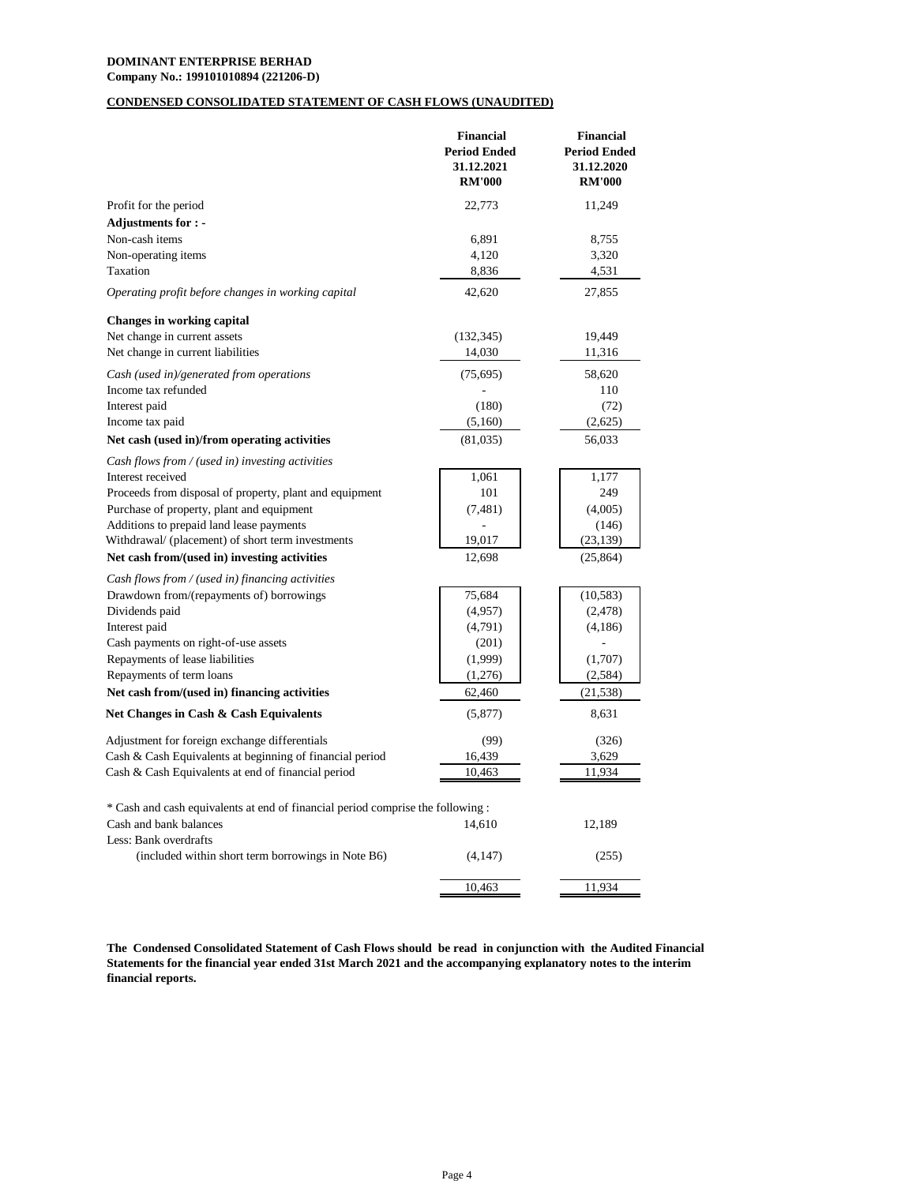## **DOMINANT ENTERPRISE BERHAD**

**Company No.: 199101010894 (221206-D)**

## **CONDENSED CONSOLIDATED STATEMENT OF CASH FLOWS (UNAUDITED)**

| 22,773<br>Profit for the period<br>11,249<br><b>Adjustments for : -</b><br>6,891<br>Non-cash items<br>8,755<br>Non-operating items<br>4,120<br>3,320<br>Taxation<br>8,836<br>4,531<br>42,620<br>Operating profit before changes in working capital<br>27,855<br><b>Changes in working capital</b><br>19,449<br>Net change in current assets<br>(132, 345)<br>Net change in current liabilities<br>14,030<br>11,316<br>Cash (used in)/generated from operations<br>(75, 695)<br>58,620<br>Income tax refunded<br>110<br>(180)<br>(72)<br>Interest paid<br>Income tax paid<br>(5,160)<br>(2,625)<br>Net cash (used in)/from operating activities<br>(81,035)<br>56,033<br>Cash flows from / (used in) investing activities<br>1,177<br>Interest received<br>1,061<br>Proceeds from disposal of property, plant and equipment<br>101<br>249<br>Purchase of property, plant and equipment<br>(7, 481)<br>(4,005)<br>Additions to prepaid land lease payments<br>(146)<br>Withdrawal/ (placement) of short term investments<br>19,017<br>(23, 139)<br>Net cash from/(used in) investing activities<br>12,698<br>(25, 864)<br>Cash flows from / (used in) financing activities<br>75,684<br>(10, 583)<br>Drawdown from/(repayments of) borrowings<br>Dividends paid<br>(4,957)<br>(2, 478)<br>Interest paid<br>(4,791)<br>(4,186)<br>Cash payments on right-of-use assets<br>(201)<br>Repayments of lease liabilities<br>(1,999)<br>(1,707)<br>Repayments of term loans<br>(1,276)<br>(2,584)<br>Net cash from/(used in) financing activities<br>62,460<br>(21, 538)<br>Net Changes in Cash & Cash Equivalents<br>8,631<br>(5,877)<br>Adjustment for foreign exchange differentials<br>(99)<br>(326)<br>16,439<br>Cash & Cash Equivalents at beginning of financial period<br>3,629<br>10,463<br>11,934<br>Cash & Cash Equivalents at end of financial period<br>* Cash and cash equivalents at end of financial period comprise the following :<br>Cash and bank balances<br>14,610<br>12,189<br>Less: Bank overdrafts<br>(included within short term borrowings in Note B6)<br>(4, 147)<br>(255)<br>10,463<br>11,934 | <b>Financial</b><br><b>Period Ended</b><br>31.12.2021<br><b>RM'000</b> | <b>Financial</b><br><b>Period Ended</b><br>31.12.2020<br><b>RM'000</b> |
|------------------------------------------------------------------------------------------------------------------------------------------------------------------------------------------------------------------------------------------------------------------------------------------------------------------------------------------------------------------------------------------------------------------------------------------------------------------------------------------------------------------------------------------------------------------------------------------------------------------------------------------------------------------------------------------------------------------------------------------------------------------------------------------------------------------------------------------------------------------------------------------------------------------------------------------------------------------------------------------------------------------------------------------------------------------------------------------------------------------------------------------------------------------------------------------------------------------------------------------------------------------------------------------------------------------------------------------------------------------------------------------------------------------------------------------------------------------------------------------------------------------------------------------------------------------------------------------------------------------------------------------------------------------------------------------------------------------------------------------------------------------------------------------------------------------------------------------------------------------------------------------------------------------------------------------------------------------------------------------------------------------------------------------------------------------------------------------------------------------|------------------------------------------------------------------------|------------------------------------------------------------------------|
|                                                                                                                                                                                                                                                                                                                                                                                                                                                                                                                                                                                                                                                                                                                                                                                                                                                                                                                                                                                                                                                                                                                                                                                                                                                                                                                                                                                                                                                                                                                                                                                                                                                                                                                                                                                                                                                                                                                                                                                                                                                                                                                  |                                                                        |                                                                        |
|                                                                                                                                                                                                                                                                                                                                                                                                                                                                                                                                                                                                                                                                                                                                                                                                                                                                                                                                                                                                                                                                                                                                                                                                                                                                                                                                                                                                                                                                                                                                                                                                                                                                                                                                                                                                                                                                                                                                                                                                                                                                                                                  |                                                                        |                                                                        |
|                                                                                                                                                                                                                                                                                                                                                                                                                                                                                                                                                                                                                                                                                                                                                                                                                                                                                                                                                                                                                                                                                                                                                                                                                                                                                                                                                                                                                                                                                                                                                                                                                                                                                                                                                                                                                                                                                                                                                                                                                                                                                                                  |                                                                        |                                                                        |
|                                                                                                                                                                                                                                                                                                                                                                                                                                                                                                                                                                                                                                                                                                                                                                                                                                                                                                                                                                                                                                                                                                                                                                                                                                                                                                                                                                                                                                                                                                                                                                                                                                                                                                                                                                                                                                                                                                                                                                                                                                                                                                                  |                                                                        |                                                                        |
|                                                                                                                                                                                                                                                                                                                                                                                                                                                                                                                                                                                                                                                                                                                                                                                                                                                                                                                                                                                                                                                                                                                                                                                                                                                                                                                                                                                                                                                                                                                                                                                                                                                                                                                                                                                                                                                                                                                                                                                                                                                                                                                  |                                                                        |                                                                        |
|                                                                                                                                                                                                                                                                                                                                                                                                                                                                                                                                                                                                                                                                                                                                                                                                                                                                                                                                                                                                                                                                                                                                                                                                                                                                                                                                                                                                                                                                                                                                                                                                                                                                                                                                                                                                                                                                                                                                                                                                                                                                                                                  |                                                                        |                                                                        |
|                                                                                                                                                                                                                                                                                                                                                                                                                                                                                                                                                                                                                                                                                                                                                                                                                                                                                                                                                                                                                                                                                                                                                                                                                                                                                                                                                                                                                                                                                                                                                                                                                                                                                                                                                                                                                                                                                                                                                                                                                                                                                                                  |                                                                        |                                                                        |
|                                                                                                                                                                                                                                                                                                                                                                                                                                                                                                                                                                                                                                                                                                                                                                                                                                                                                                                                                                                                                                                                                                                                                                                                                                                                                                                                                                                                                                                                                                                                                                                                                                                                                                                                                                                                                                                                                                                                                                                                                                                                                                                  |                                                                        |                                                                        |
|                                                                                                                                                                                                                                                                                                                                                                                                                                                                                                                                                                                                                                                                                                                                                                                                                                                                                                                                                                                                                                                                                                                                                                                                                                                                                                                                                                                                                                                                                                                                                                                                                                                                                                                                                                                                                                                                                                                                                                                                                                                                                                                  |                                                                        |                                                                        |
|                                                                                                                                                                                                                                                                                                                                                                                                                                                                                                                                                                                                                                                                                                                                                                                                                                                                                                                                                                                                                                                                                                                                                                                                                                                                                                                                                                                                                                                                                                                                                                                                                                                                                                                                                                                                                                                                                                                                                                                                                                                                                                                  |                                                                        |                                                                        |
|                                                                                                                                                                                                                                                                                                                                                                                                                                                                                                                                                                                                                                                                                                                                                                                                                                                                                                                                                                                                                                                                                                                                                                                                                                                                                                                                                                                                                                                                                                                                                                                                                                                                                                                                                                                                                                                                                                                                                                                                                                                                                                                  |                                                                        |                                                                        |
|                                                                                                                                                                                                                                                                                                                                                                                                                                                                                                                                                                                                                                                                                                                                                                                                                                                                                                                                                                                                                                                                                                                                                                                                                                                                                                                                                                                                                                                                                                                                                                                                                                                                                                                                                                                                                                                                                                                                                                                                                                                                                                                  |                                                                        |                                                                        |
|                                                                                                                                                                                                                                                                                                                                                                                                                                                                                                                                                                                                                                                                                                                                                                                                                                                                                                                                                                                                                                                                                                                                                                                                                                                                                                                                                                                                                                                                                                                                                                                                                                                                                                                                                                                                                                                                                                                                                                                                                                                                                                                  |                                                                        |                                                                        |
|                                                                                                                                                                                                                                                                                                                                                                                                                                                                                                                                                                                                                                                                                                                                                                                                                                                                                                                                                                                                                                                                                                                                                                                                                                                                                                                                                                                                                                                                                                                                                                                                                                                                                                                                                                                                                                                                                                                                                                                                                                                                                                                  |                                                                        |                                                                        |
|                                                                                                                                                                                                                                                                                                                                                                                                                                                                                                                                                                                                                                                                                                                                                                                                                                                                                                                                                                                                                                                                                                                                                                                                                                                                                                                                                                                                                                                                                                                                                                                                                                                                                                                                                                                                                                                                                                                                                                                                                                                                                                                  |                                                                        |                                                                        |
|                                                                                                                                                                                                                                                                                                                                                                                                                                                                                                                                                                                                                                                                                                                                                                                                                                                                                                                                                                                                                                                                                                                                                                                                                                                                                                                                                                                                                                                                                                                                                                                                                                                                                                                                                                                                                                                                                                                                                                                                                                                                                                                  |                                                                        |                                                                        |
|                                                                                                                                                                                                                                                                                                                                                                                                                                                                                                                                                                                                                                                                                                                                                                                                                                                                                                                                                                                                                                                                                                                                                                                                                                                                                                                                                                                                                                                                                                                                                                                                                                                                                                                                                                                                                                                                                                                                                                                                                                                                                                                  |                                                                        |                                                                        |
|                                                                                                                                                                                                                                                                                                                                                                                                                                                                                                                                                                                                                                                                                                                                                                                                                                                                                                                                                                                                                                                                                                                                                                                                                                                                                                                                                                                                                                                                                                                                                                                                                                                                                                                                                                                                                                                                                                                                                                                                                                                                                                                  |                                                                        |                                                                        |
|                                                                                                                                                                                                                                                                                                                                                                                                                                                                                                                                                                                                                                                                                                                                                                                                                                                                                                                                                                                                                                                                                                                                                                                                                                                                                                                                                                                                                                                                                                                                                                                                                                                                                                                                                                                                                                                                                                                                                                                                                                                                                                                  |                                                                        |                                                                        |
|                                                                                                                                                                                                                                                                                                                                                                                                                                                                                                                                                                                                                                                                                                                                                                                                                                                                                                                                                                                                                                                                                                                                                                                                                                                                                                                                                                                                                                                                                                                                                                                                                                                                                                                                                                                                                                                                                                                                                                                                                                                                                                                  |                                                                        |                                                                        |
|                                                                                                                                                                                                                                                                                                                                                                                                                                                                                                                                                                                                                                                                                                                                                                                                                                                                                                                                                                                                                                                                                                                                                                                                                                                                                                                                                                                                                                                                                                                                                                                                                                                                                                                                                                                                                                                                                                                                                                                                                                                                                                                  |                                                                        |                                                                        |
|                                                                                                                                                                                                                                                                                                                                                                                                                                                                                                                                                                                                                                                                                                                                                                                                                                                                                                                                                                                                                                                                                                                                                                                                                                                                                                                                                                                                                                                                                                                                                                                                                                                                                                                                                                                                                                                                                                                                                                                                                                                                                                                  |                                                                        |                                                                        |
|                                                                                                                                                                                                                                                                                                                                                                                                                                                                                                                                                                                                                                                                                                                                                                                                                                                                                                                                                                                                                                                                                                                                                                                                                                                                                                                                                                                                                                                                                                                                                                                                                                                                                                                                                                                                                                                                                                                                                                                                                                                                                                                  |                                                                        |                                                                        |
|                                                                                                                                                                                                                                                                                                                                                                                                                                                                                                                                                                                                                                                                                                                                                                                                                                                                                                                                                                                                                                                                                                                                                                                                                                                                                                                                                                                                                                                                                                                                                                                                                                                                                                                                                                                                                                                                                                                                                                                                                                                                                                                  |                                                                        |                                                                        |
|                                                                                                                                                                                                                                                                                                                                                                                                                                                                                                                                                                                                                                                                                                                                                                                                                                                                                                                                                                                                                                                                                                                                                                                                                                                                                                                                                                                                                                                                                                                                                                                                                                                                                                                                                                                                                                                                                                                                                                                                                                                                                                                  |                                                                        |                                                                        |
|                                                                                                                                                                                                                                                                                                                                                                                                                                                                                                                                                                                                                                                                                                                                                                                                                                                                                                                                                                                                                                                                                                                                                                                                                                                                                                                                                                                                                                                                                                                                                                                                                                                                                                                                                                                                                                                                                                                                                                                                                                                                                                                  |                                                                        |                                                                        |
|                                                                                                                                                                                                                                                                                                                                                                                                                                                                                                                                                                                                                                                                                                                                                                                                                                                                                                                                                                                                                                                                                                                                                                                                                                                                                                                                                                                                                                                                                                                                                                                                                                                                                                                                                                                                                                                                                                                                                                                                                                                                                                                  |                                                                        |                                                                        |
|                                                                                                                                                                                                                                                                                                                                                                                                                                                                                                                                                                                                                                                                                                                                                                                                                                                                                                                                                                                                                                                                                                                                                                                                                                                                                                                                                                                                                                                                                                                                                                                                                                                                                                                                                                                                                                                                                                                                                                                                                                                                                                                  |                                                                        |                                                                        |
|                                                                                                                                                                                                                                                                                                                                                                                                                                                                                                                                                                                                                                                                                                                                                                                                                                                                                                                                                                                                                                                                                                                                                                                                                                                                                                                                                                                                                                                                                                                                                                                                                                                                                                                                                                                                                                                                                                                                                                                                                                                                                                                  |                                                                        |                                                                        |
|                                                                                                                                                                                                                                                                                                                                                                                                                                                                                                                                                                                                                                                                                                                                                                                                                                                                                                                                                                                                                                                                                                                                                                                                                                                                                                                                                                                                                                                                                                                                                                                                                                                                                                                                                                                                                                                                                                                                                                                                                                                                                                                  |                                                                        |                                                                        |
|                                                                                                                                                                                                                                                                                                                                                                                                                                                                                                                                                                                                                                                                                                                                                                                                                                                                                                                                                                                                                                                                                                                                                                                                                                                                                                                                                                                                                                                                                                                                                                                                                                                                                                                                                                                                                                                                                                                                                                                                                                                                                                                  |                                                                        |                                                                        |
|                                                                                                                                                                                                                                                                                                                                                                                                                                                                                                                                                                                                                                                                                                                                                                                                                                                                                                                                                                                                                                                                                                                                                                                                                                                                                                                                                                                                                                                                                                                                                                                                                                                                                                                                                                                                                                                                                                                                                                                                                                                                                                                  |                                                                        |                                                                        |
|                                                                                                                                                                                                                                                                                                                                                                                                                                                                                                                                                                                                                                                                                                                                                                                                                                                                                                                                                                                                                                                                                                                                                                                                                                                                                                                                                                                                                                                                                                                                                                                                                                                                                                                                                                                                                                                                                                                                                                                                                                                                                                                  |                                                                        |                                                                        |
|                                                                                                                                                                                                                                                                                                                                                                                                                                                                                                                                                                                                                                                                                                                                                                                                                                                                                                                                                                                                                                                                                                                                                                                                                                                                                                                                                                                                                                                                                                                                                                                                                                                                                                                                                                                                                                                                                                                                                                                                                                                                                                                  |                                                                        |                                                                        |
|                                                                                                                                                                                                                                                                                                                                                                                                                                                                                                                                                                                                                                                                                                                                                                                                                                                                                                                                                                                                                                                                                                                                                                                                                                                                                                                                                                                                                                                                                                                                                                                                                                                                                                                                                                                                                                                                                                                                                                                                                                                                                                                  |                                                                        |                                                                        |
|                                                                                                                                                                                                                                                                                                                                                                                                                                                                                                                                                                                                                                                                                                                                                                                                                                                                                                                                                                                                                                                                                                                                                                                                                                                                                                                                                                                                                                                                                                                                                                                                                                                                                                                                                                                                                                                                                                                                                                                                                                                                                                                  |                                                                        |                                                                        |
|                                                                                                                                                                                                                                                                                                                                                                                                                                                                                                                                                                                                                                                                                                                                                                                                                                                                                                                                                                                                                                                                                                                                                                                                                                                                                                                                                                                                                                                                                                                                                                                                                                                                                                                                                                                                                                                                                                                                                                                                                                                                                                                  |                                                                        |                                                                        |
|                                                                                                                                                                                                                                                                                                                                                                                                                                                                                                                                                                                                                                                                                                                                                                                                                                                                                                                                                                                                                                                                                                                                                                                                                                                                                                                                                                                                                                                                                                                                                                                                                                                                                                                                                                                                                                                                                                                                                                                                                                                                                                                  |                                                                        |                                                                        |

**The Condensed Consolidated Statement of Cash Flows should be read in conjunction with the Audited Financial Statements for the financial year ended 31st March 2021 and the accompanying explanatory notes to the interim financial reports.**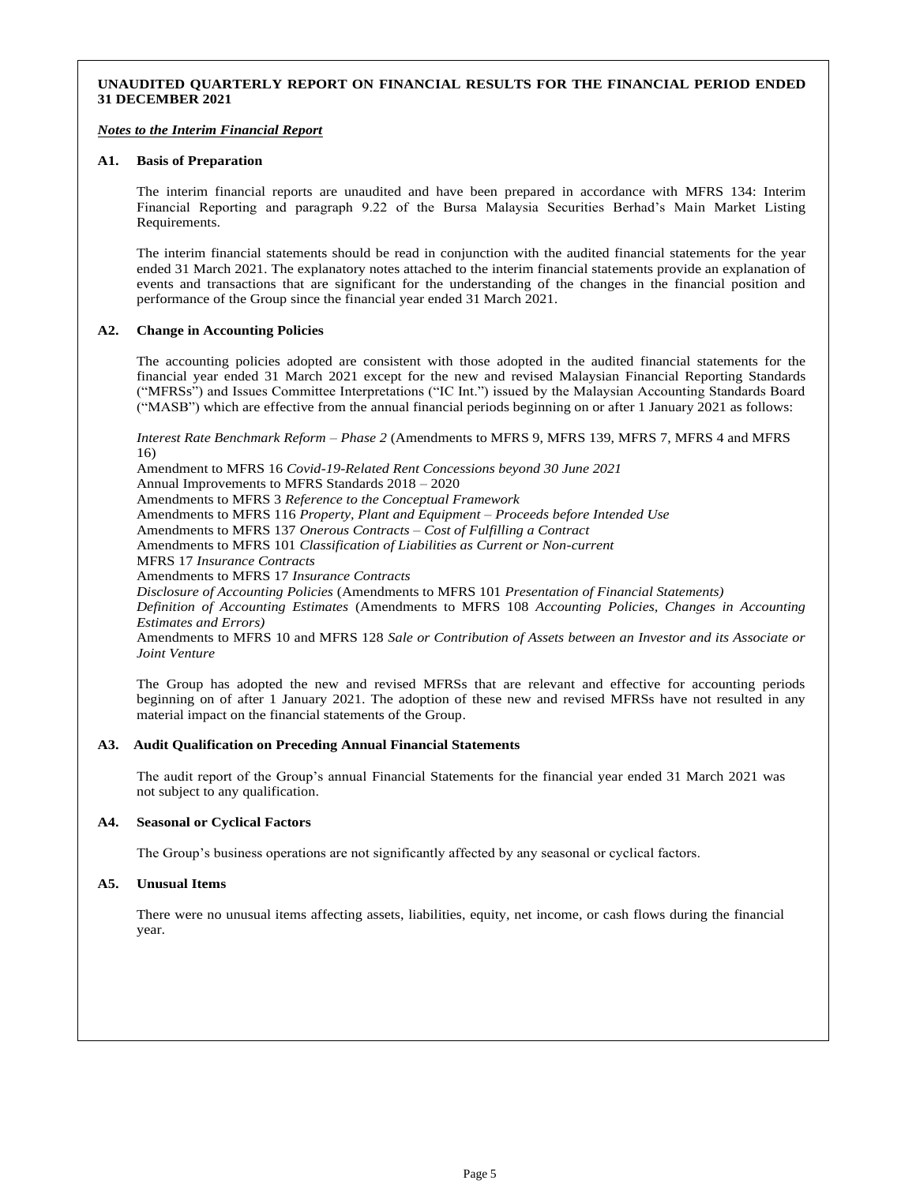## **UNAUDITED QUARTERLY REPORT ON FINANCIAL RESULTS FOR THE FINANCIAL PERIOD ENDED 31 DECEMBER 2021**

#### *Notes to the Interim Financial Report*

#### **A1. Basis of Preparation**

The interim financial reports are unaudited and have been prepared in accordance with MFRS 134: Interim Financial Reporting and paragraph 9.22 of the Bursa Malaysia Securities Berhad's Main Market Listing Requirements.

The interim financial statements should be read in conjunction with the audited financial statements for the year ended 31 March 2021. The explanatory notes attached to the interim financial statements provide an explanation of events and transactions that are significant for the understanding of the changes in the financial position and performance of the Group since the financial year ended 31 March 2021.

#### **A2. Change in Accounting Policies**

The accounting policies adopted are consistent with those adopted in the audited financial statements for the financial year ended 31 March 2021 except for the new and revised Malaysian Financial Reporting Standards ("MFRSs") and Issues Committee Interpretations ("IC Int.") issued by the Malaysian Accounting Standards Board ("MASB") which are effective from the annual financial periods beginning on or after 1 January 2021 as follows:

*Interest Rate Benchmark Reform – Phase 2* (Amendments to MFRS 9, MFRS 139, MFRS 7, MFRS 4 and MFRS 16)

Amendment to MFRS 16 *Covid-19-Related Rent Concessions beyond 30 June 2021* Annual Improvements to MFRS Standards 2018 – 2020 Amendments to MFRS 3 *Reference to the Conceptual Framework* Amendments to MFRS 116 *Property, Plant and Equipment – Proceeds before Intended Use* Amendments to MFRS 137 *Onerous Contracts – Cost of Fulfilling a Contract* Amendments to MFRS 101 *Classification of Liabilities as Current or Non-current* MFRS 17 *Insurance Contracts* Amendments to MFRS 17 *Insurance Contracts Disclosure of Accounting Policies* (Amendments to MFRS 101 *Presentation of Financial Statements) Definition of Accounting Estimates* (Amendments to MFRS 108 *Accounting Policies, Changes in Accounting Estimates and Errors)* Amendments to MFRS 10 and MFRS 128 *Sale or Contribution of Assets between an Investor and its Associate or Joint Venture*

The Group has adopted the new and revised MFRSs that are relevant and effective for accounting periods beginning on of after 1 January 2021. The adoption of these new and revised MFRSs have not resulted in any material impact on the financial statements of the Group.

#### **A3. Audit Qualification on Preceding Annual Financial Statements**

The audit report of the Group's annual Financial Statements for the financial year ended 31 March 2021 was not subject to any qualification.

#### **A4. Seasonal or Cyclical Factors**

The Group's business operations are not significantly affected by any seasonal or cyclical factors.

#### **A5. Unusual Items**

There were no unusual items affecting assets, liabilities, equity, net income, or cash flows during the financial year.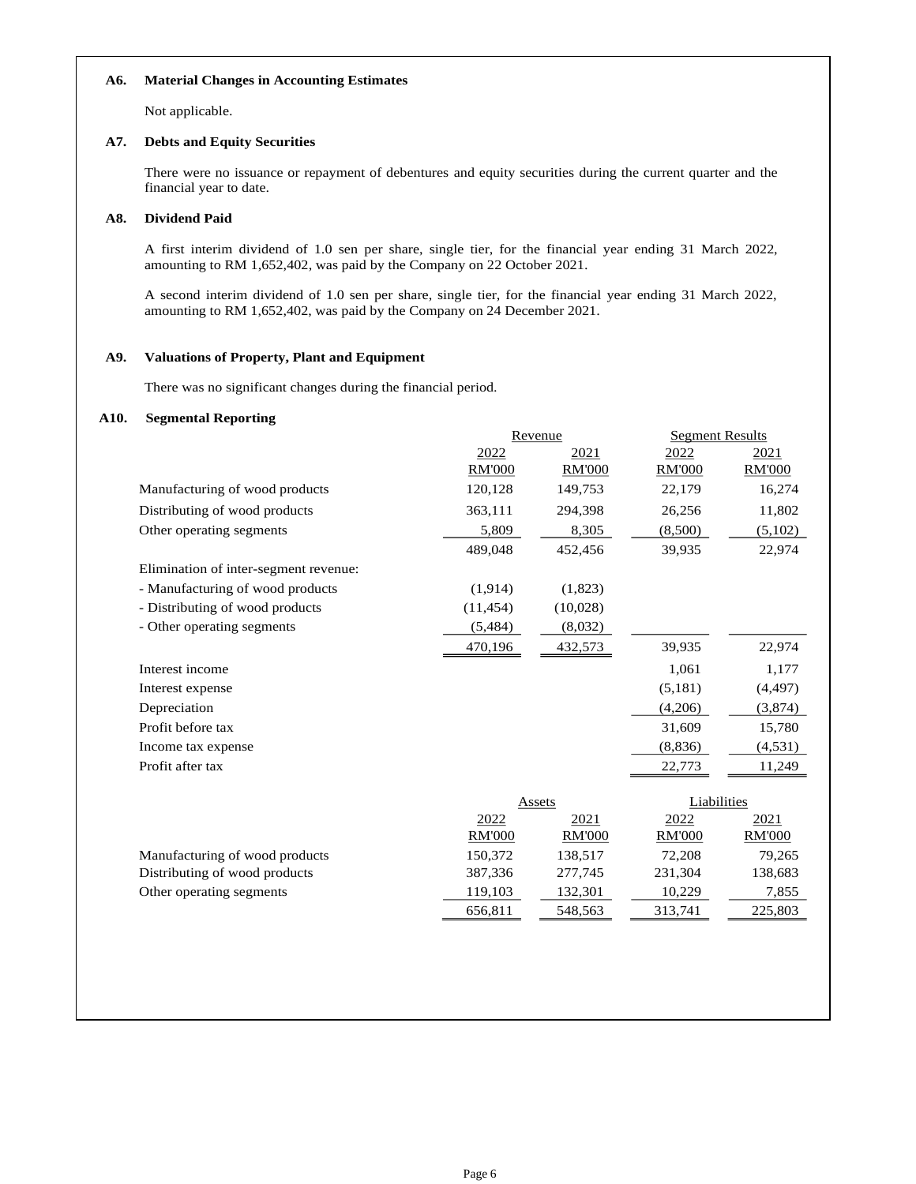## **A6. Material Changes in Accounting Estimates**

Not applicable.

### **A7. Debts and Equity Securities**

There were no issuance or repayment of debentures and equity securities during the current quarter and the financial year to date.

## **A8. Dividend Paid**

A first interim dividend of 1.0 sen per share, single tier, for the financial year ending 31 March 2022, amounting to RM 1,652,402, was paid by the Company on 22 October 2021.

A second interim dividend of 1.0 sen per share, single tier, for the financial year ending 31 March 2022, amounting to RM 1,652,402, was paid by the Company on 24 December 2021.

## **A9. Valuations of Property, Plant and Equipment**

There was no significant changes during the financial period.

## **A10. Segmental Reporting**

|                                       | Revenue       |               | <b>Segment Results</b> |               |
|---------------------------------------|---------------|---------------|------------------------|---------------|
|                                       | 2022          | 2021          | 2022                   | 2021          |
|                                       | <b>RM'000</b> | <b>RM'000</b> | <b>RM'000</b>          | <b>RM'000</b> |
| Manufacturing of wood products        | 120,128       | 149,753       | 22,179                 | 16,274        |
| Distributing of wood products         | 363,111       | 294,398       | 26,256                 | 11,802        |
| Other operating segments              | 5,809         | 8,305         | (8,500)                | (5,102)       |
|                                       | 489,048       | 452,456       | 39,935                 | 22,974        |
| Elimination of inter-segment revenue: |               |               |                        |               |
| - Manufacturing of wood products      | (1,914)       | (1,823)       |                        |               |
| - Distributing of wood products       | (11, 454)     | (10,028)      |                        |               |
| - Other operating segments            | (5,484)       | (8,032)       |                        |               |
|                                       | 470,196       | 432,573       | 39,935                 | 22,974        |
| Interest income                       |               |               | 1,061                  | 1,177         |
| Interest expense                      |               |               | (5,181)                | (4, 497)      |
| Depreciation                          |               |               | (4,206)                | (3,874)       |
| Profit before tax                     |               |               | 31,609                 | 15,780        |
| Income tax expense                    |               |               | (8,836)                | (4,531)       |
| Profit after tax                      |               |               | 22,773                 | 11,249        |
|                                       |               |               |                        |               |
|                                       |               | Assets        | Liabilities            |               |
|                                       | 2022          | 2021          | 2022                   | 2021          |
|                                       | <b>RM'000</b> | <b>RM'000</b> | <b>RM'000</b>          | <b>RM'000</b> |
| Manufacturing of wood products        | 150,372       | 138,517       | 72,208                 | 79,265        |
| Distributing of wood products         | 387,336       | 277,745       | 231,304                | 138,683       |
| Other operating segments              | 119,103       | 132,301       | 10,229                 | 7,855         |
|                                       | 656,811       | 548,563       | 313,741                | 225,803       |
|                                       |               |               |                        |               |
|                                       |               |               |                        |               |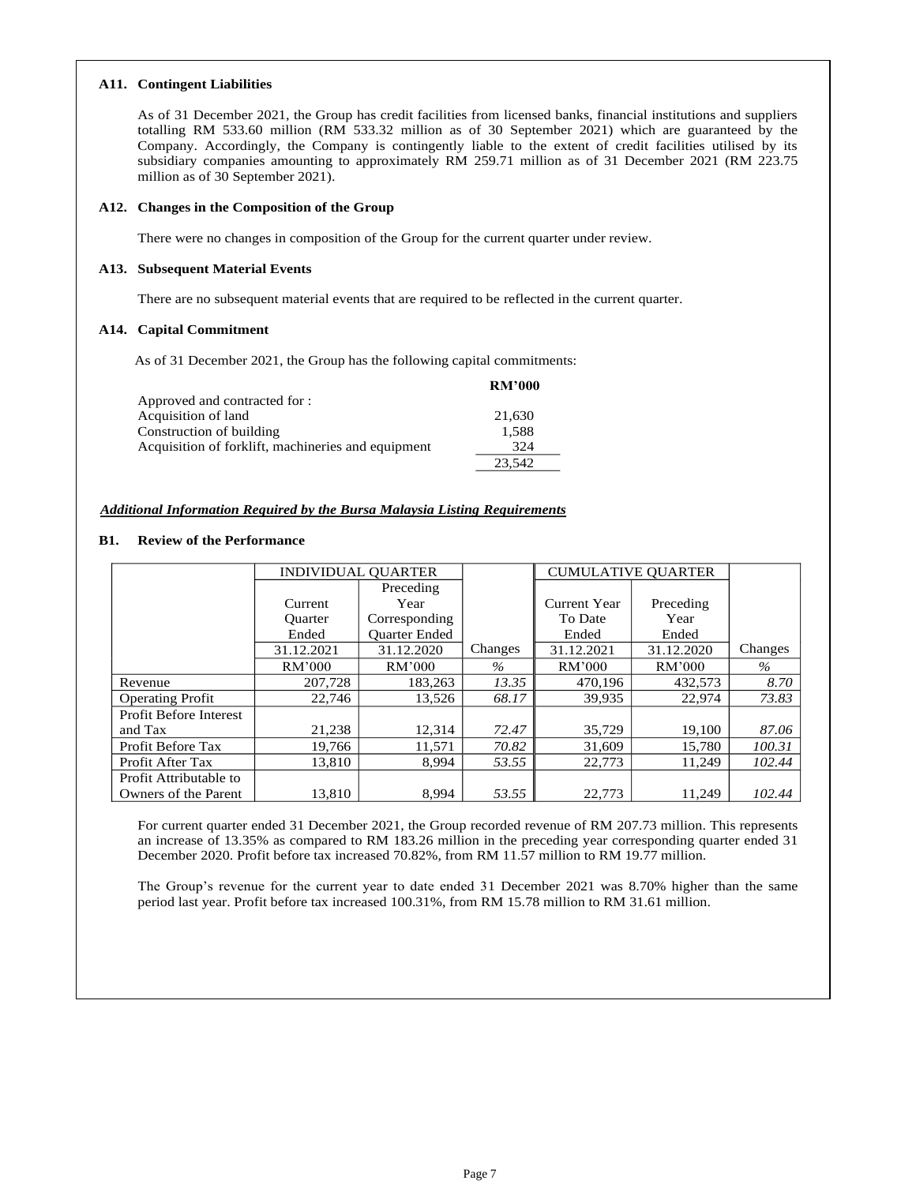#### **A11. Contingent Liabilities**

As of 31 December 2021, the Group has credit facilities from licensed banks, financial institutions and suppliers totalling RM 533.60 million (RM 533.32 million as of 30 September 2021) which are guaranteed by the Company. Accordingly, the Company is contingently liable to the extent of credit facilities utilised by its subsidiary companies amounting to approximately RM 259.71 million as of 31 December 2021 (RM 223.75 million as of 30 September 2021).

### **A12. Changes in the Composition of the Group**

There were no changes in composition of the Group for the current quarter under review.

### **A13. Subsequent Material Events**

There are no subsequent material events that are required to be reflected in the current quarter.

### **A14. Capital Commitment**

As of 31 December 2021, the Group has the following capital commitments:

|                                                    | <b>RM'000</b> |
|----------------------------------------------------|---------------|
| Approved and contracted for :                      |               |
| Acquisition of land                                | 21,630        |
| Construction of building                           | 1,588         |
| Acquisition of forklift, machineries and equipment | 324           |
|                                                    | 23.542        |

## *Additional Information Required by the Bursa Malaysia Listing Requirements*

## **B1. Review of the Performance**

|                               | <b>INDIVIDUAL OUARTER</b> |                      |         | <b>CUMULATIVE OUARTER</b> |            |         |
|-------------------------------|---------------------------|----------------------|---------|---------------------------|------------|---------|
|                               |                           | Preceding            |         |                           |            |         |
|                               | Current                   | Year                 |         | Current Year              | Preceding  |         |
|                               | <b>Ouarter</b>            | Corresponding        |         | To Date                   | Year       |         |
|                               | Ended                     | <b>Ouarter Ended</b> |         | Ended                     | Ended      |         |
|                               | 31.12.2021                | 31.12.2020           | Changes | 31.12.2021                | 31.12.2020 | Changes |
|                               | RM'000                    | RM'000               | $\%$    | RM'000                    | RM'000     | $\%$    |
| Revenue                       | 207,728                   | 183.263              | 13.35   | 470,196                   | 432,573    | 8.70    |
| <b>Operating Profit</b>       | 22,746                    | 13,526               | 68.17   | 39,935                    | 22,974     | 73.83   |
| <b>Profit Before Interest</b> |                           |                      |         |                           |            |         |
| and Tax                       | 21,238                    | 12,314               | 72.47   | 35,729                    | 19,100     | 87.06   |
| Profit Before Tax             | 19,766                    | 11.571               | 70.82   | 31,609                    | 15.780     | 100.31  |
| Profit After Tax              | 13.810                    | 8.994                | 53.55   | 22,773                    | 11.249     | 102.44  |
| Profit Attributable to        |                           |                      |         |                           |            |         |
| Owners of the Parent          | 13.810                    | 8.994                | 53.55   | 22,773                    | 11,249     | 102.44  |

For current quarter ended 31 December 2021, the Group recorded revenue of RM 207.73 million. This represents an increase of 13.35% as compared to RM 183.26 million in the preceding year corresponding quarter ended 31 December 2020. Profit before tax increased 70.82%, from RM 11.57 million to RM 19.77 million.

The Group's revenue for the current year to date ended 31 December 2021 was 8.70% higher than the same period last year. Profit before tax increased 100.31%, from RM 15.78 million to RM 31.61 million.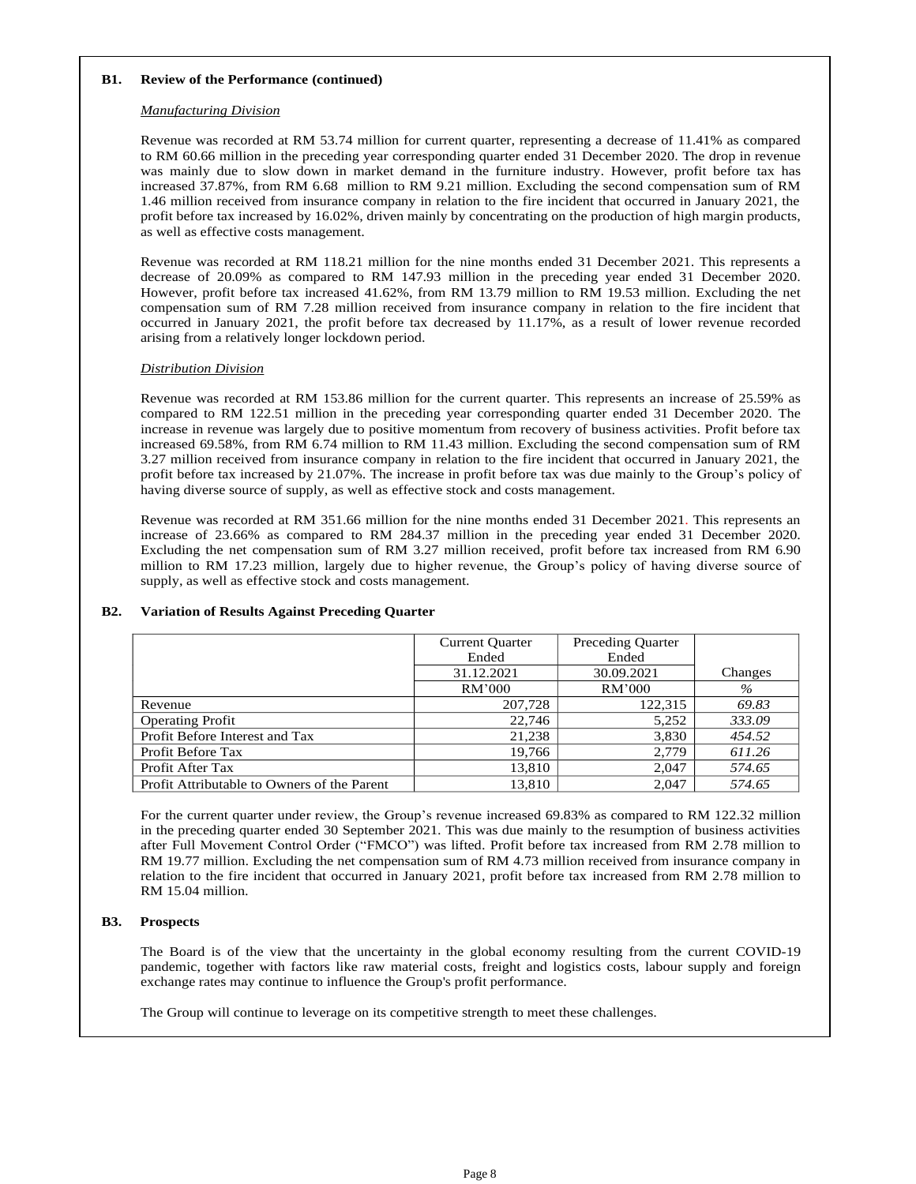#### **B1. Review of the Performance (continued)**

### *Manufacturing Division*

Revenue was recorded at RM 53.74 million for current quarter, representing a decrease of 11.41% as compared to RM 60.66 million in the preceding year corresponding quarter ended 31 December 2020. The drop in revenue was mainly due to slow down in market demand in the furniture industry. However, profit before tax has increased 37.87%, from RM 6.68 million to RM 9.21 million. Excluding the second compensation sum of RM 1.46 million received from insurance company in relation to the fire incident that occurred in January 2021, the profit before tax increased by 16.02%, driven mainly by concentrating on the production of high margin products, as well as effective costs management.

Revenue was recorded at RM 118.21 million for the nine months ended 31 December 2021. This represents a decrease of 20.09% as compared to RM 147.93 million in the preceding year ended 31 December 2020. However, profit before tax increased 41.62%, from RM 13.79 million to RM 19.53 million. Excluding the net compensation sum of RM 7.28 million received from insurance company in relation to the fire incident that occurred in January 2021, the profit before tax decreased by 11.17%, as a result of lower revenue recorded arising from a relatively longer lockdown period.

### *Distribution Division*

Revenue was recorded at RM 153.86 million for the current quarter. This represents an increase of 25.59% as compared to RM 122.51 million in the preceding year corresponding quarter ended 31 December 2020. The increase in revenue was largely due to positive momentum from recovery of business activities. Profit before tax increased 69.58%, from RM 6.74 million to RM 11.43 million. Excluding the second compensation sum of RM 3.27 million received from insurance company in relation to the fire incident that occurred in January 2021, the profit before tax increased by 21.07%. The increase in profit before tax was due mainly to the Group's policy of having diverse source of supply, as well as effective stock and costs management.

Revenue was recorded at RM 351.66 million for the nine months ended 31 December 2021. This represents an increase of 23.66% as compared to RM 284.37 million in the preceding year ended 31 December 2020. Excluding the net compensation sum of RM 3.27 million received, profit before tax increased from RM 6.90 million to RM 17.23 million, largely due to higher revenue, the Group's policy of having diverse source of supply, as well as effective stock and costs management.

|                                             | <b>Current Quarter</b> | <b>Preceding Quarter</b> |         |
|---------------------------------------------|------------------------|--------------------------|---------|
|                                             | Ended                  | Ended                    |         |
|                                             | 31.12.2021             | 30.09.2021               | Changes |
|                                             | RM'000                 | RM'000                   | $\%$    |
| Revenue                                     | 207,728                | 122,315                  | 69.83   |
| <b>Operating Profit</b>                     | 22,746                 | 5,252                    | 333.09  |
| Profit Before Interest and Tax              | 21,238                 | 3,830                    | 454.52  |
| Profit Before Tax                           | 19,766                 | 2,779                    | 611.26  |
| Profit After Tax                            | 13,810                 | 2.047                    | 574.65  |
| Profit Attributable to Owners of the Parent | 13,810                 | 2.047                    | 574.65  |

## **B2. Variation of Results Against Preceding Quarter**

For the current quarter under review, the Group's revenue increased 69.83% as compared to RM 122.32 million in the preceding quarter ended 30 September 2021. This was due mainly to the resumption of business activities after Full Movement Control Order ("FMCO") was lifted. Profit before tax increased from RM 2.78 million to RM 19.77 million. Excluding the net compensation sum of RM 4.73 million received from insurance company in relation to the fire incident that occurred in January 2021, profit before tax increased from RM 2.78 million to RM 15.04 million.

## **B3. Prospects**

The Board is of the view that the uncertainty in the global economy resulting from the current COVID-19 pandemic, together with factors like raw material costs, freight and logistics costs, labour supply and foreign exchange rates may continue to influence the Group's profit performance.

The Group will continue to leverage on its competitive strength to meet these challenges.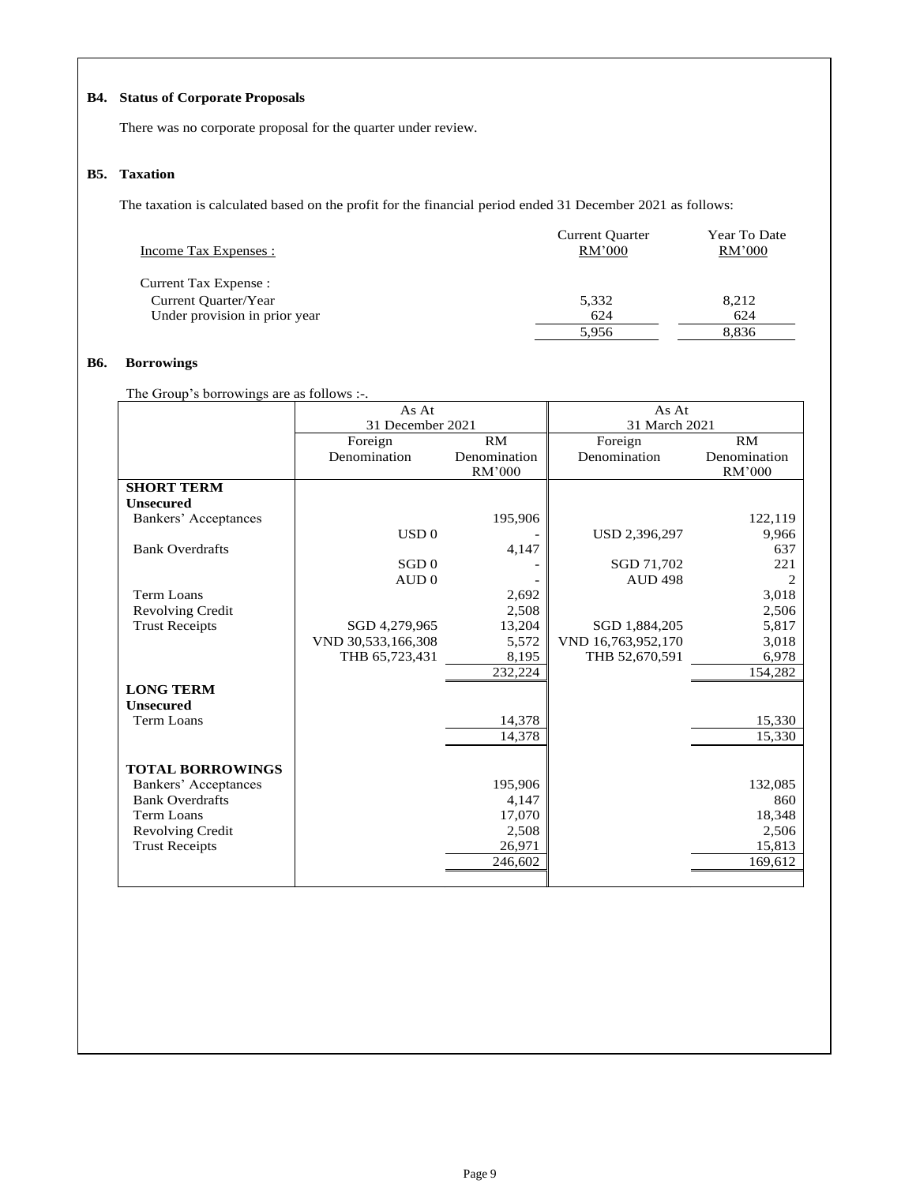# **B4. Status of Corporate Proposals**

There was no corporate proposal for the quarter under review.

## **B5. Taxation**

The taxation is calculated based on the profit for the financial period ended 31 December 2021 as follows:

| Income Tax Expenses :         | <b>Current Quarter</b><br>RM'000 | Year To Date<br>RM'000 |
|-------------------------------|----------------------------------|------------------------|
| Current Tax Expense :         |                                  |                        |
| Current Quarter/Year          | 5,332                            | 8,212                  |
| Under provision in prior year | 624                              | 624                    |
|                               | 5.956                            | 8,836                  |

## **B6. Borrowings**

The Group's borrowings are as follows :-.

|                         | As At              |              | As At              |                |
|-------------------------|--------------------|--------------|--------------------|----------------|
|                         | 31 December 2021   |              | 31 March 2021      |                |
|                         | Foreign            | RM           | Foreign            | RM             |
|                         | Denomination       | Denomination | Denomination       | Denomination   |
|                         |                    | RM'000       |                    | RM'000         |
| <b>SHORT TERM</b>       |                    |              |                    |                |
| <b>Unsecured</b>        |                    |              |                    |                |
| Bankers' Acceptances    |                    | 195,906      |                    | 122,119        |
|                         | USD 0              |              | USD 2,396,297      | 9,966          |
| <b>Bank Overdrafts</b>  |                    | 4,147        |                    | 637            |
|                         | SGD <sub>0</sub>   |              | SGD 71,702         | 221            |
|                         | AUD0               |              | <b>AUD 498</b>     | $\overline{c}$ |
| Term Loans              |                    | 2,692        |                    | 3,018          |
| <b>Revolving Credit</b> |                    | 2,508        |                    | 2,506          |
| <b>Trust Receipts</b>   | SGD 4,279,965      | 13,204       | SGD 1,884,205      | 5,817          |
|                         | VND 30,533,166,308 | 5,572        | VND 16,763,952,170 | 3,018          |
|                         | THB 65,723,431     | 8,195        | THB 52,670,591     | 6,978          |
|                         |                    | 232,224      |                    | 154,282        |
| <b>LONG TERM</b>        |                    |              |                    |                |
| <b>Unsecured</b>        |                    |              |                    |                |
| <b>Term Loans</b>       |                    | 14,378       |                    | 15,330         |
|                         |                    | 14,378       |                    | 15,330         |
|                         |                    |              |                    |                |
| <b>TOTAL BORROWINGS</b> |                    |              |                    |                |
| Bankers' Acceptances    |                    | 195,906      |                    | 132,085        |
| <b>Bank Overdrafts</b>  |                    | 4,147        |                    | 860            |
| Term Loans              |                    | 17,070       |                    | 18,348         |
| <b>Revolving Credit</b> |                    | 2,508        |                    | 2,506          |
| <b>Trust Receipts</b>   |                    | 26,971       |                    | 15,813         |
|                         |                    | 246,602      |                    | 169,612        |
|                         |                    |              |                    |                |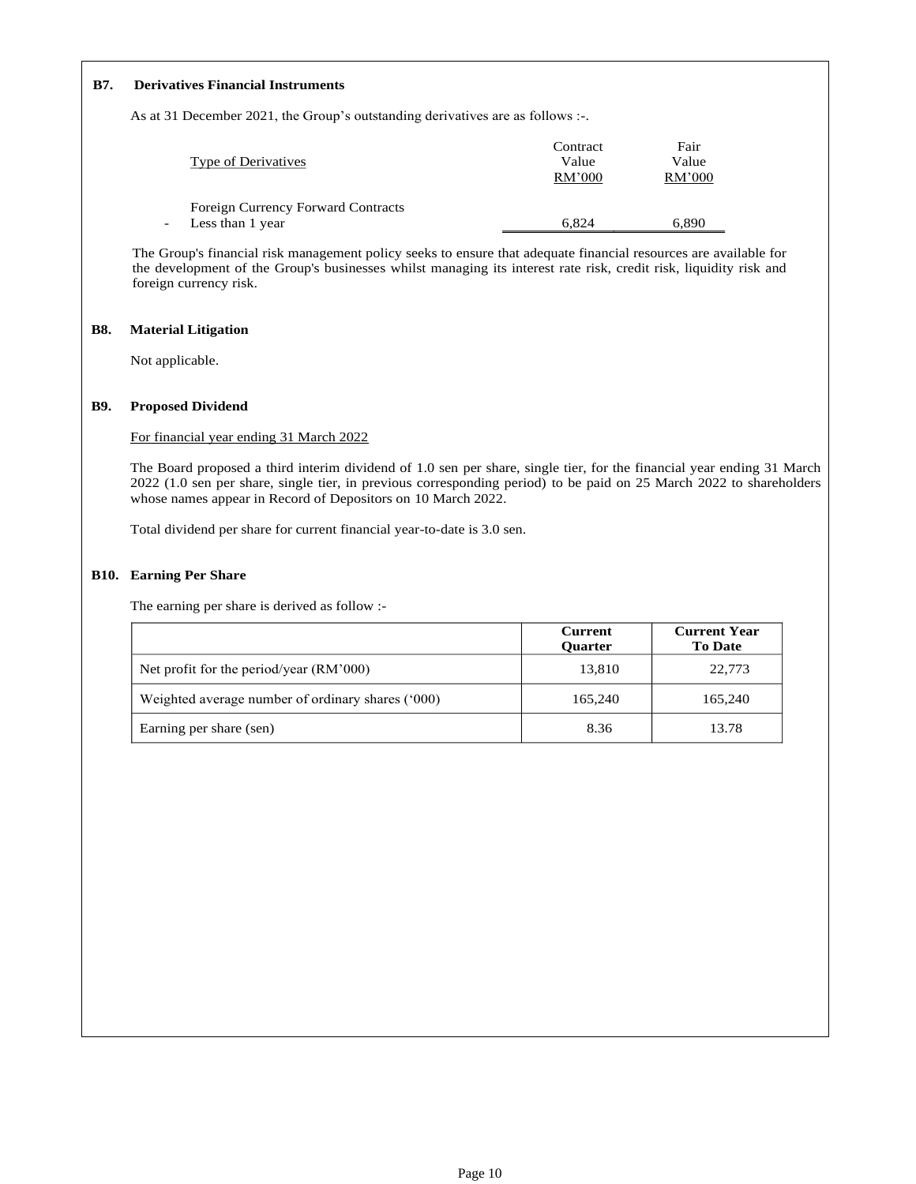## **B7. Derivatives Financial Instruments**

As at 31 December 2021, the Group's outstanding derivatives are as follows :-.

|                                           | Contract | Fair   |
|-------------------------------------------|----------|--------|
| <b>Type of Derivatives</b>                | Value    | Value  |
|                                           | RM'000   | RM'000 |
|                                           |          |        |
| <b>Foreign Currency Forward Contracts</b> |          |        |
| Less than 1 year                          | 6.824    | 6.890  |

The Group's financial risk management policy seeks to ensure that adequate financial resources are available for the development of the Group's businesses whilst managing its interest rate risk, credit risk, liquidity risk and foreign currency risk.

## **B8. Material Litigation**

Not applicable.

### **B9. Proposed Dividend**

For financial year ending 31 March 2022

The Board proposed a third interim dividend of 1.0 sen per share, single tier, for the financial year ending 31 March 2022 (1.0 sen per share, single tier, in previous corresponding period) to be paid on 25 March 2022 to shareholders whose names appear in Record of Depositors on 10 March 2022.

Total dividend per share for current financial year-to-date is 3.0 sen.

## **B10. Earning Per Share**

The earning per share is derived as follow :-

|                                                   | <b>Current</b><br><b>Ouarter</b> | <b>Current Year</b><br><b>To Date</b> |
|---------------------------------------------------|----------------------------------|---------------------------------------|
| Net profit for the period/year $(RM'000)$         | 13,810                           | 22,773                                |
| Weighted average number of ordinary shares ('000) | 165,240                          | 165,240                               |
| Earning per share (sen)                           | 8.36                             | 13.78                                 |